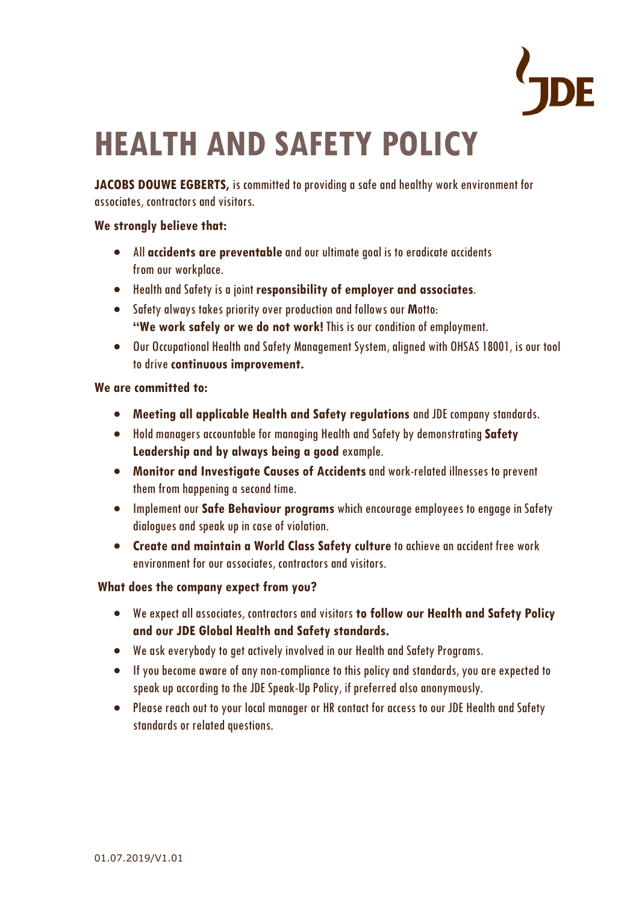

# **HEALTH AND SAFETY POLICY**

**JACOBS DOUWE EGBERTS,** is committed to providing a safe and healthy work environment for associates, contractors and visitors.

### **We strongly believe that:**

- All **accidents are preventable** and our ultimate goal is to eradicate accidents from our workplace.
- Health and Safety is a joint **responsibility of employer and associates**.
- Safety always takes priority over production and followsour **M**otto: **"We work safely or we do not work!** This is our condition of employment.
- Our Occupational Health and Safety Management System, aligned with OHSAS 18001, is our tool to drive **continuous improvement.**

#### **We are committed to:**

- **Meeting all applicable Health and Safety regulations** and JDE company standards.
- Hold managers accountable for managing Health and Safety by demonstrating **Safety Leadership and by always being a good** example.
- **Monitor and Investigate Causes of Accidents**and work-related illnesses to prevent them from happening a second time.
- Implement our **Safe Behaviour programs** which encourage employees to engage in Safety dialogues and speak up in case of violation.
- **Create and maintain a World Class Safety culture** to achieve an accident free work environment for our associates, contractors and visitors.

## **What does the company expect from you?**

- We expect all associates, contractors and visitors **to follow our Health and Safety Policy and our JDE Global Health and Safety standards.**
- We ask everybody to get actively involved in our Health and Safety Programs.
- If you become aware of any non-compliance to this policy and standards, you are expected to speak up according to the JDE Speak-Up Policy, if preferred also anonymously.
- Please reach out to your local manager or HR contact for access to our JDE Health and Safety standards or related questions.